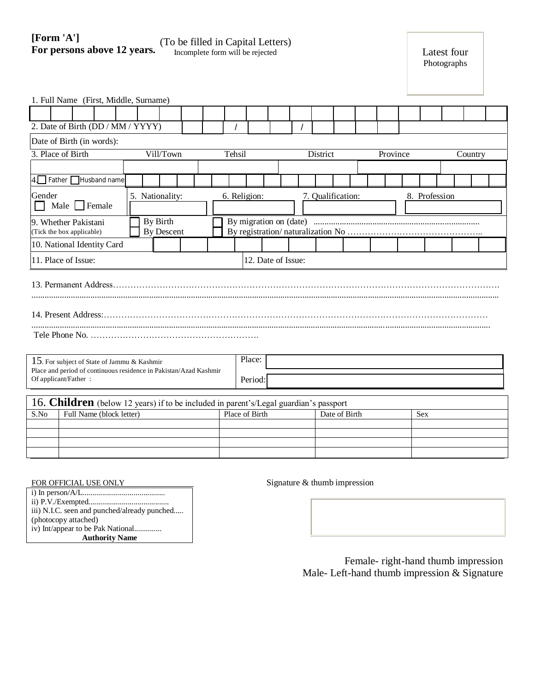## **[Form 'A'] Form A J**<br>For persons above 12 years. The incomplete form will be rejected Incomplete form will be rejected Latest four

| 1. Full Name (First, Middle, Surname)                                                                                                    |                               |  |  |                |                   |              |               |  |                   |  |            |  |               |  |  |  |  |         |  |  |
|------------------------------------------------------------------------------------------------------------------------------------------|-------------------------------|--|--|----------------|-------------------|--------------|---------------|--|-------------------|--|------------|--|---------------|--|--|--|--|---------|--|--|
|                                                                                                                                          |                               |  |  |                |                   |              |               |  |                   |  |            |  |               |  |  |  |  |         |  |  |
| 2. Date of Birth (DD / MM / YYYY)<br>$\prime$                                                                                            |                               |  |  |                |                   |              |               |  |                   |  |            |  |               |  |  |  |  |         |  |  |
| Date of Birth (in words):                                                                                                                |                               |  |  |                |                   |              |               |  |                   |  |            |  |               |  |  |  |  |         |  |  |
| 3. Place of Birth<br>Vill/Town                                                                                                           |                               |  |  |                |                   | Tehsil       |               |  | District          |  |            |  | Province      |  |  |  |  | Country |  |  |
|                                                                                                                                          |                               |  |  |                |                   |              |               |  |                   |  |            |  |               |  |  |  |  |         |  |  |
| $4.$ Father<br>Husband name                                                                                                              |                               |  |  |                |                   |              |               |  |                   |  |            |  |               |  |  |  |  |         |  |  |
| Gender<br>Male $\Box$ Female<br>$\mathbf{L}$                                                                                             | 5. Nationality:               |  |  |                |                   | 6. Religion: |               |  | 7. Qualification: |  |            |  | 8. Profession |  |  |  |  |         |  |  |
| 9. Whether Pakistani<br>(Tick the box applicable)                                                                                        | By Birth<br><b>By Descent</b> |  |  |                |                   |              |               |  |                   |  |            |  |               |  |  |  |  |         |  |  |
| 10. National Identity Card                                                                                                               |                               |  |  |                |                   |              |               |  |                   |  |            |  |               |  |  |  |  |         |  |  |
| 11. Place of Issue:<br>12. Date of Issue:                                                                                                |                               |  |  |                |                   |              |               |  |                   |  |            |  |               |  |  |  |  |         |  |  |
|                                                                                                                                          |                               |  |  |                |                   |              |               |  |                   |  |            |  |               |  |  |  |  |         |  |  |
| 15. For subject of State of Jammu & Kashmir<br>Place and period of continuous residence in Pakistan/Azad Kashmir<br>Of applicant/Father: |                               |  |  |                | Place:<br>Period: |              |               |  |                   |  |            |  |               |  |  |  |  |         |  |  |
| 16. Children (below 12 years) if to be included in parent's/Legal guardian's passport                                                    |                               |  |  |                |                   |              |               |  |                   |  |            |  |               |  |  |  |  |         |  |  |
| S.No<br>Full Name (block letter)                                                                                                         |                               |  |  | Place of Birth |                   |              | Date of Birth |  |                   |  | <b>Sex</b> |  |               |  |  |  |  |         |  |  |
|                                                                                                                                          |                               |  |  |                |                   |              |               |  |                   |  |            |  |               |  |  |  |  |         |  |  |
|                                                                                                                                          |                               |  |  |                |                   |              |               |  |                   |  |            |  |               |  |  |  |  |         |  |  |

FOR OFFICIAL USE ONLY Signature & thumb impression

i) In person/A/L.......................................... ii) P.V./Exempted......................................... iii) N.I.C. seen and punched/already punched..... (photocopy attached) iv) Int/appear to be Pak National.............. **Authority Name**

> Female- right-hand thumb impression Male- Left-hand thumb impression & Signature